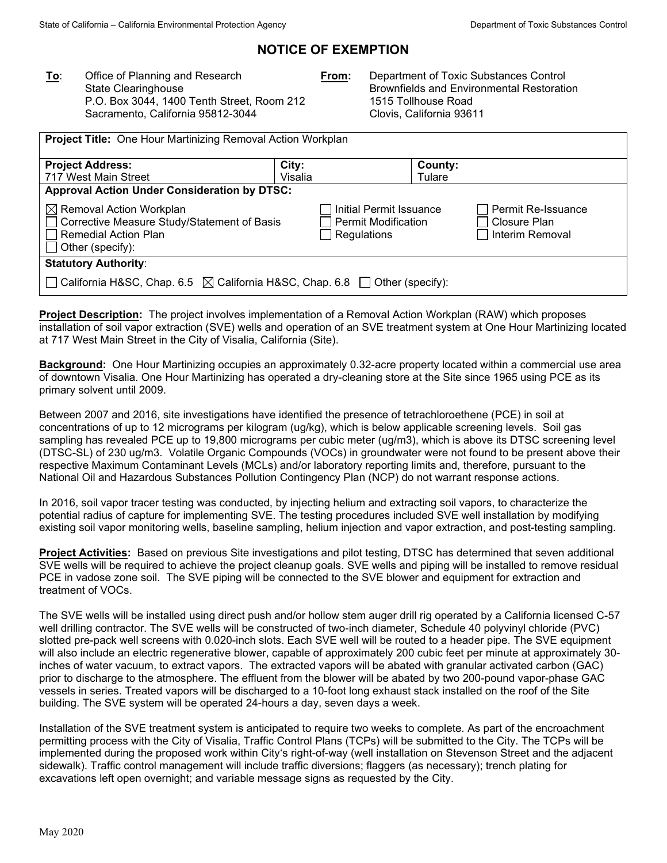# **NOTICE OF EXEMPTION**

**To**: Office of Planning and Research State Clearinghouse P.O. Box 3044, 1400 Tenth Street, Room 212 Sacramento, California 95812-3044

**From:** Department of Toxic Substances Control Brownfields and Environmental Restoration 1515 Tollhouse Road Clovis, California 93611

| <b>Project Title: One Hour Martinizing Removal Action Workplan</b>                                                             |                  |                                                                      |                   |                                                       |  |  |
|--------------------------------------------------------------------------------------------------------------------------------|------------------|----------------------------------------------------------------------|-------------------|-------------------------------------------------------|--|--|
| <b>Project Address:</b><br>717 West Main Street                                                                                | City:<br>Visalia |                                                                      | County:<br>Tulare |                                                       |  |  |
| <b>Approval Action Under Consideration by DTSC:</b>                                                                            |                  |                                                                      |                   |                                                       |  |  |
| $\boxtimes$ Removal Action Workplan<br>Corrective Measure Study/Statement of Basis<br>Remedial Action Plan<br>Other (specify): |                  | Initial Permit Issuance<br><b>Permit Modification</b><br>Regulations |                   | Permit Re-Issuance<br>Closure Plan<br>Interim Removal |  |  |
| <b>Statutory Authority:</b>                                                                                                    |                  |                                                                      |                   |                                                       |  |  |
| ◯ California H&SC, Chap. 6.5 $\boxtimes$ California H&SC, Chap. 6.8 ◯ Other (specify):                                         |                  |                                                                      |                   |                                                       |  |  |

**Project Description:** The project involves implementation of a Removal Action Workplan (RAW) which proposes installation of soil vapor extraction (SVE) wells and operation of an SVE treatment system at One Hour Martinizing located at 717 West Main Street in the City of Visalia, California (Site).

**Background:** One Hour Martinizing occupies an approximately 0.32-acre property located within a commercial use area of downtown Visalia. One Hour Martinizing has operated a dry-cleaning store at the Site since 1965 using PCE as its primary solvent until 2009.

Between 2007 and 2016, site investigations have identified the presence of tetrachloroethene (PCE) in soil at concentrations of up to 12 micrograms per kilogram (ug/kg), which is below applicable screening levels. Soil gas sampling has revealed PCE up to 19,800 micrograms per cubic meter (ug/m3), which is above its DTSC screening level (DTSC-SL) of 230 ug/m3. Volatile Organic Compounds (VOCs) in groundwater were not found to be present above their respective Maximum Contaminant Levels (MCLs) and/or laboratory reporting limits and, therefore, pursuant to the National Oil and Hazardous Substances Pollution Contingency Plan (NCP) do not warrant response actions.

In 2016, soil vapor tracer testing was conducted, by injecting helium and extracting soil vapors, to characterize the potential radius of capture for implementing SVE. The testing procedures included SVE well installation by modifying existing soil vapor monitoring wells, baseline sampling, helium injection and vapor extraction, and post-testing sampling.

**Project Activities:** Based on previous Site investigations and pilot testing, DTSC has determined that seven additional SVE wells will be required to achieve the project cleanup goals. SVE wells and piping will be installed to remove residual PCE in vadose zone soil. The SVE piping will be connected to the SVE blower and equipment for extraction and treatment of VOCs.

The SVE wells will be installed using direct push and/or hollow stem auger drill rig operated by a California licensed C-57 well drilling contractor. The SVE wells will be constructed of two-inch diameter, Schedule 40 polyvinyl chloride (PVC) slotted pre-pack well screens with 0.020-inch slots. Each SVE well will be routed to a header pipe. The SVE equipment will also include an electric regenerative blower, capable of approximately 200 cubic feet per minute at approximately 30 inches of water vacuum, to extract vapors. The extracted vapors will be abated with granular activated carbon (GAC) prior to discharge to the atmosphere. The effluent from the blower will be abated by two 200-pound vapor-phase GAC vessels in series. Treated vapors will be discharged to a 10-foot long exhaust stack installed on the roof of the Site building. The SVE system will be operated 24-hours a day, seven days a week.

Installation of the SVE treatment system is anticipated to require two weeks to complete. As part of the encroachment permitting process with the City of Visalia, Traffic Control Plans (TCPs) will be submitted to the City. The TCPs will be implemented during the proposed work within City's right-of-way (well installation on Stevenson Street and the adjacent sidewalk). Traffic control management will include traffic diversions; flaggers (as necessary); trench plating for excavations left open overnight; and variable message signs as requested by the City.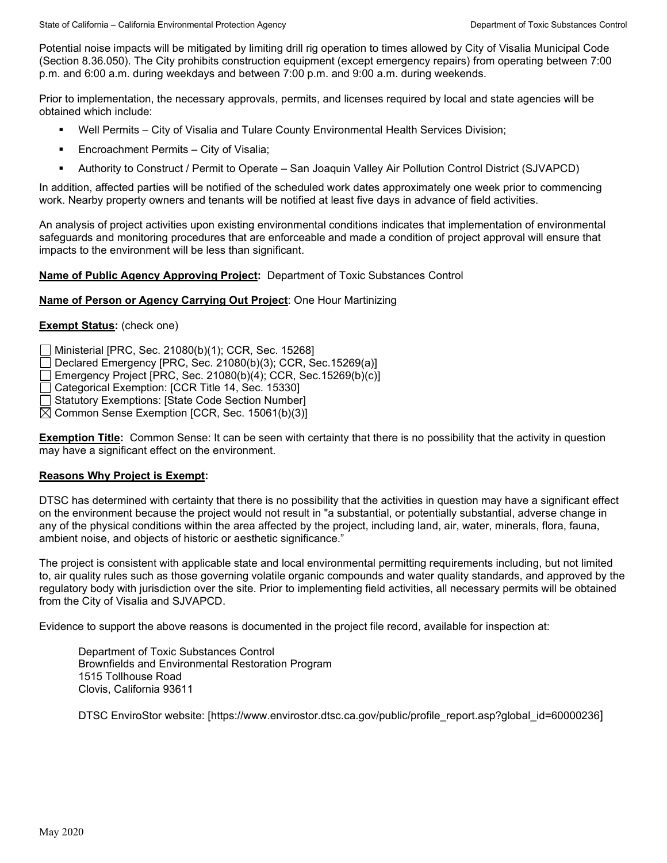Potential noise impacts will be mitigated by limiting drill rig operation to times allowed by City of Visalia Municipal Code (Section 8.36.050). The City prohibits construction equipment (except emergency repairs) from operating between 7:00 p.m. and 6:00 a.m. during weekdays and between 7:00 p.m. and 9:00 a.m. during weekends.

Prior to implementation, the necessary approvals, permits, and licenses required by local and state agencies will be obtained which include:

- Well Permits City of Visalia and Tulare County Environmental Health Services Division;
- **Encroachment Permits City of Visalia;**
- Authority to Construct / Permit to Operate San Joaquin Valley Air Pollution Control District (SJVAPCD)

In addition, affected parties will be notified of the scheduled work dates approximately one week prior to commencing work. Nearby property owners and tenants will be notified at least five days in advance of field activities.

An analysis of project activities upon existing environmental conditions indicates that implementation of environmental safeguards and monitoring procedures that are enforceable and made a condition of project approval will ensure that impacts to the environment will be less than significant.

### **Name of Public Agency Approving Project:** Department of Toxic Substances Control

#### **Name of Person or Agency Carrying Out Project**: One Hour Martinizing

## **Exempt Status:** (check one)

Ministerial [PRC, Sec. 21080(b)(1); CCR, Sec. 15268]

Declared Emergency [PRC, Sec. 21080(b)(3); CCR, Sec.15269(a)]

Emergency Project [PRC, Sec. 21080(b)(4); CCR, Sec.15269(b)(c)]

Categorical Exemption: [CCR Title 14, Sec. 15330]

Statutory Exemptions: [State Code Section Number]

 $\boxtimes$  Common Sense Exemption [CCR, Sec. 15061(b)(3)]

**Exemption Title:** Common Sense: It can be seen with certainty that there is no possibility that the activity in question may have a significant effect on the environment.

### **Reasons Why Project is Exempt:**

DTSC has determined with certainty that there is no possibility that the activities in question may have a significant effect on the environment because the project would not result in "a substantial, or potentially substantial, adverse change in any of the physical conditions within the area affected by the project, including land, air, water, minerals, flora, fauna, ambient noise, and objects of historic or aesthetic significance."

The project is consistent with applicable state and local environmental permitting requirements including, but not limited to, air quality rules such as those governing volatile organic compounds and water quality standards, and approved by the regulatory body with jurisdiction over the site. Prior to implementing field activities, all necessary permits will be obtained from the City of Visalia and SJVAPCD.

Evidence to support the above reasons is documented in the project file record, available for inspection at:

Department of Toxic Substances Control Brownfields and Environmental Restoration Program 1515 Tollhouse Road Clovis, California 93611

DTSC EnviroStor website: [https://www.envirostor.dtsc.ca.gov/public/profile\_report.asp?global\_id=60000236]